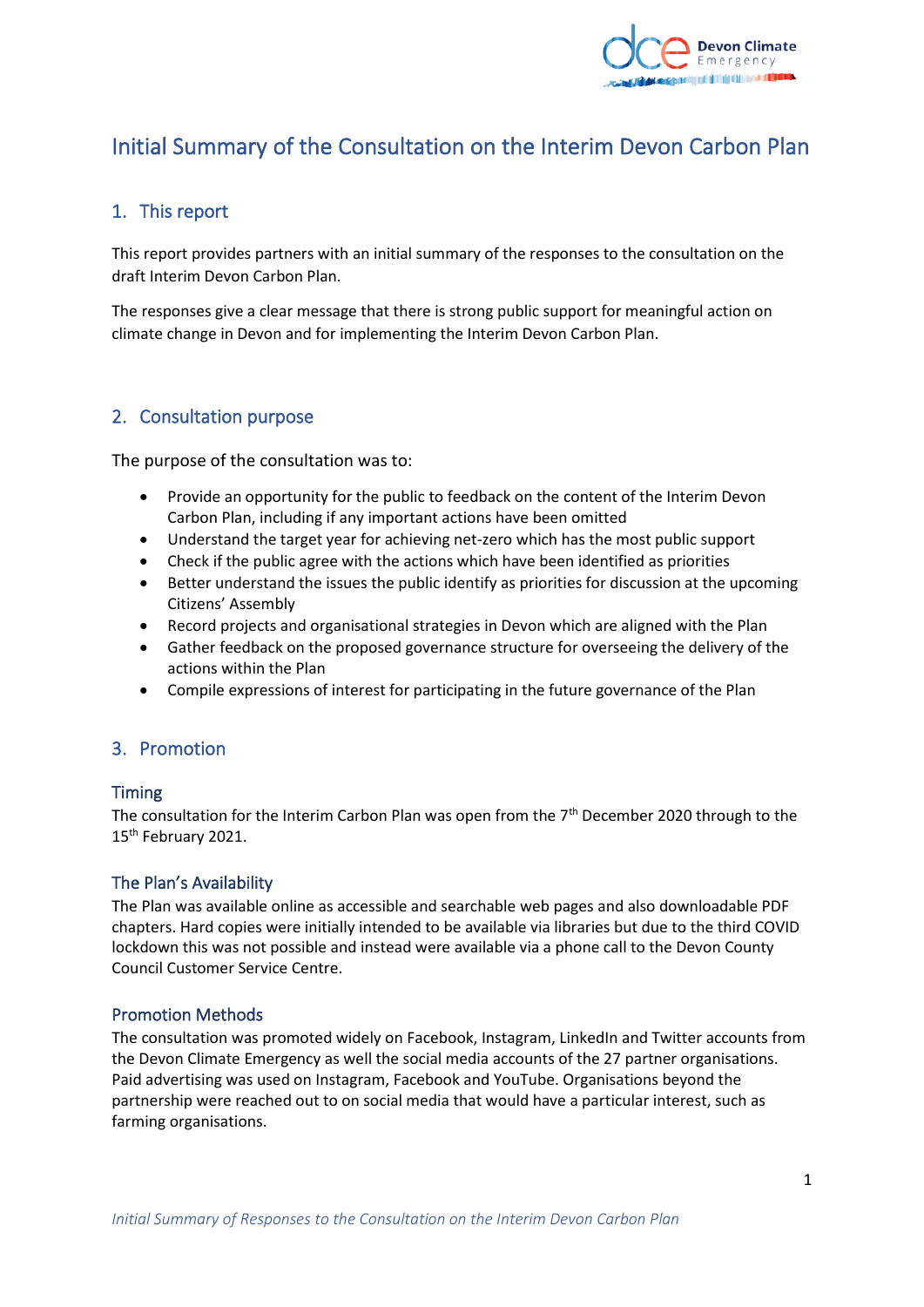

# Initial Summary of the Consultation on the Interim Devon Carbon Plan

# 1. This report

This report provides partners with an initial summary of the responses to the consultation on the draft Interim Devon Carbon Plan.

The responses give a clear message that there is strong public support for meaningful action on climate change in Devon and for implementing the Interim Devon Carbon Plan.

# 2. Consultation purpose

The purpose of the consultation was to:

- Provide an opportunity for the public to feedback on the content of the Interim Devon Carbon Plan, including if any important actions have been omitted
- Understand the target year for achieving net-zero which has the most public support
- Check if the public agree with the actions which have been identified as priorities
- Better understand the issues the public identify as priorities for discussion at the upcoming Citizens' Assembly
- Record projects and organisational strategies in Devon which are aligned with the Plan
- Gather feedback on the proposed governance structure for overseeing the delivery of the actions within the Plan
- Compile expressions of interest for participating in the future governance of the Plan

## 3. Promotion

#### Timing

The consultation for the Interim Carbon Plan was open from the 7<sup>th</sup> December 2020 through to the 15<sup>th</sup> February 2021.

#### The Plan's Availability

The Plan was available online as accessible and searchable web pages and also downloadable PDF chapters. Hard copies were initially intended to be available via libraries but due to the third COVID lockdown this was not possible and instead were available via a phone call to the Devon County Council Customer Service Centre.

#### Promotion Methods

The consultation was promoted widely on Facebook, Instagram, LinkedIn and Twitter accounts from the Devon Climate Emergency as well the social media accounts of the 27 partner organisations. Paid advertising was used on Instagram, Facebook and YouTube. Organisations beyond the partnership were reached out to on social media that would have a particular interest, such as farming organisations.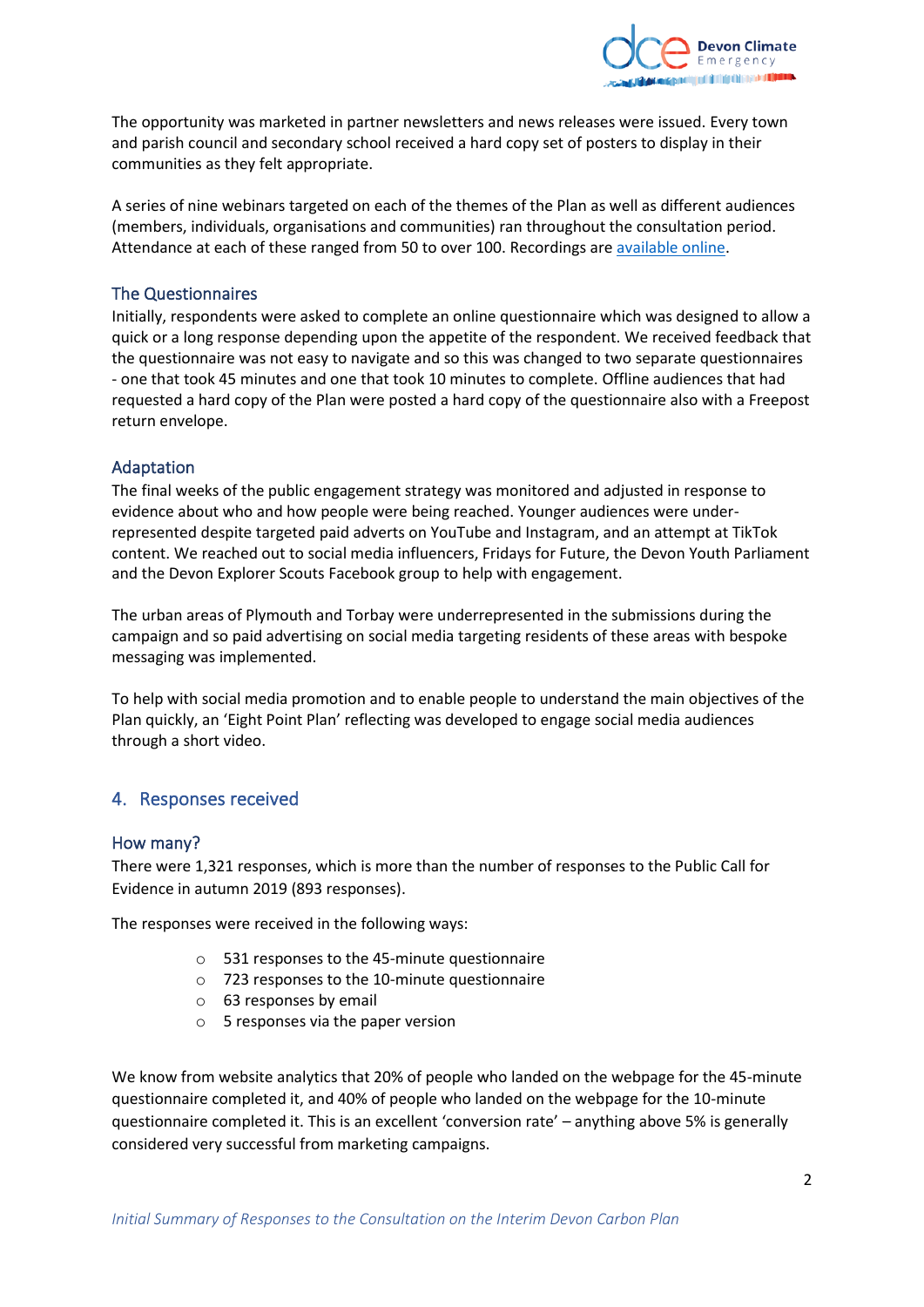

The opportunity was marketed in partner newsletters and news releases were issued. Every town and parish council and secondary school received a hard copy set of posters to display in their communities as they felt appropriate.

A series of nine webinars targeted on each of the themes of the Plan as well as different audiences (members, individuals, organisations and communities) ran throughout the consultation period. Attendance at each of these ranged from 50 to over 100. Recordings are [available online.](https://www.devonclimateemergency.org.uk/interim-devon-carbon-plan-webinar-series/)

#### The Questionnaires

Initially, respondents were asked to complete an online questionnaire which was designed to allow a quick or a long response depending upon the appetite of the respondent. We received feedback that the questionnaire was not easy to navigate and so this was changed to two separate questionnaires - one that took 45 minutes and one that took 10 minutes to complete. Offline audiences that had requested a hard copy of the Plan were posted a hard copy of the questionnaire also with a Freepost return envelope.

#### Adaptation

The final weeks of the public engagement strategy was monitored and adjusted in response to evidence about who and how people were being reached. Younger audiences were underrepresented despite targeted paid adverts on YouTube and Instagram, and an attempt at TikTok content. We reached out to social media influencers, Fridays for Future, the Devon Youth Parliament and the Devon Explorer Scouts Facebook group to help with engagement.

The urban areas of Plymouth and Torbay were underrepresented in the submissions during the campaign and so paid advertising on social media targeting residents of these areas with bespoke messaging was implemented.

To help with social media promotion and to enable people to understand the main objectives of the Plan quickly, an 'Eight Point Plan' reflecting was developed to engage social media audiences through a short video.

## 4. Responses received

#### How many?

There were 1,321 responses, which is more than the number of responses to the Public Call for Evidence in autumn 2019 (893 responses).

The responses were received in the following ways:

- o 531 responses to the 45-minute questionnaire
- o 723 responses to the 10-minute questionnaire
- o 63 responses by email
- o 5 responses via the paper version

We know from website analytics that 20% of people who landed on the webpage for the 45-minute questionnaire completed it, and 40% of people who landed on the webpage for the 10-minute questionnaire completed it. This is an excellent 'conversion rate' – anything above 5% is generally considered very successful from marketing campaigns.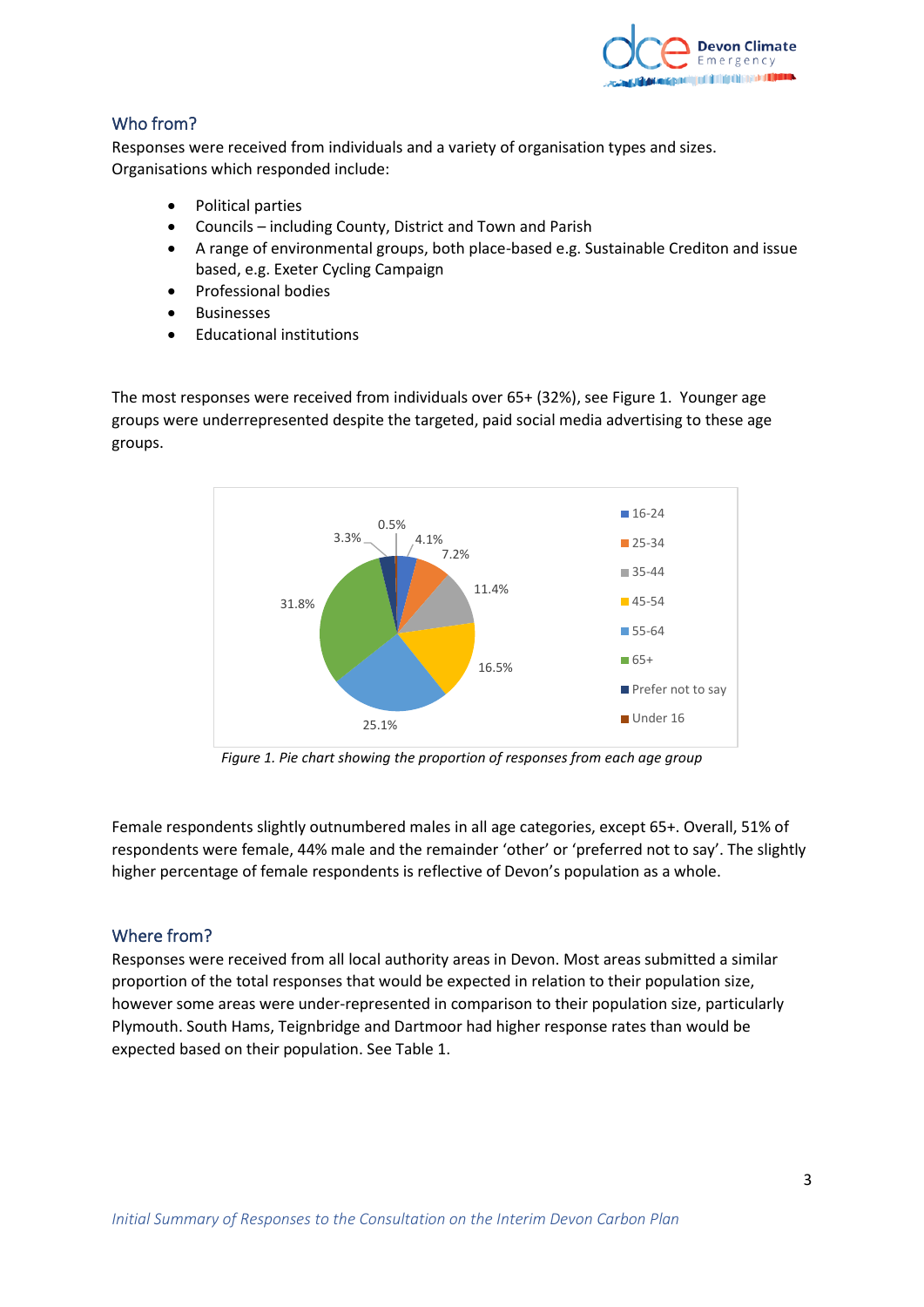

# Who from?

Responses were received from individuals and a variety of organisation types and sizes. Organisations which responded include:

- Political parties
- Councils including County, District and Town and Parish
- A range of environmental groups, both place-based e.g. Sustainable Crediton and issue based, e.g. Exeter Cycling Campaign
- Professional bodies
- Businesses
- Educational institutions

The most responses were received from individuals over 65+ (32%), see Figure 1. Younger age groups were underrepresented despite the targeted, paid social media advertising to these age groups.



*Figure 1. Pie chart showing the proportion of responses from each age group*

Female respondents slightly outnumbered males in all age categories, except 65+. Overall, 51% of respondents were female, 44% male and the remainder 'other' or 'preferred not to say'. The slightly higher percentage of female respondents is reflective of Devon's population as a whole.

## Where from?

Responses were received from all local authority areas in Devon. Most areas submitted a similar proportion of the total responses that would be expected in relation to their population size, however some areas were under-represented in comparison to their population size, particularly Plymouth. South Hams, Teignbridge and Dartmoor had higher response rates than would be expected based on their population. See Table 1.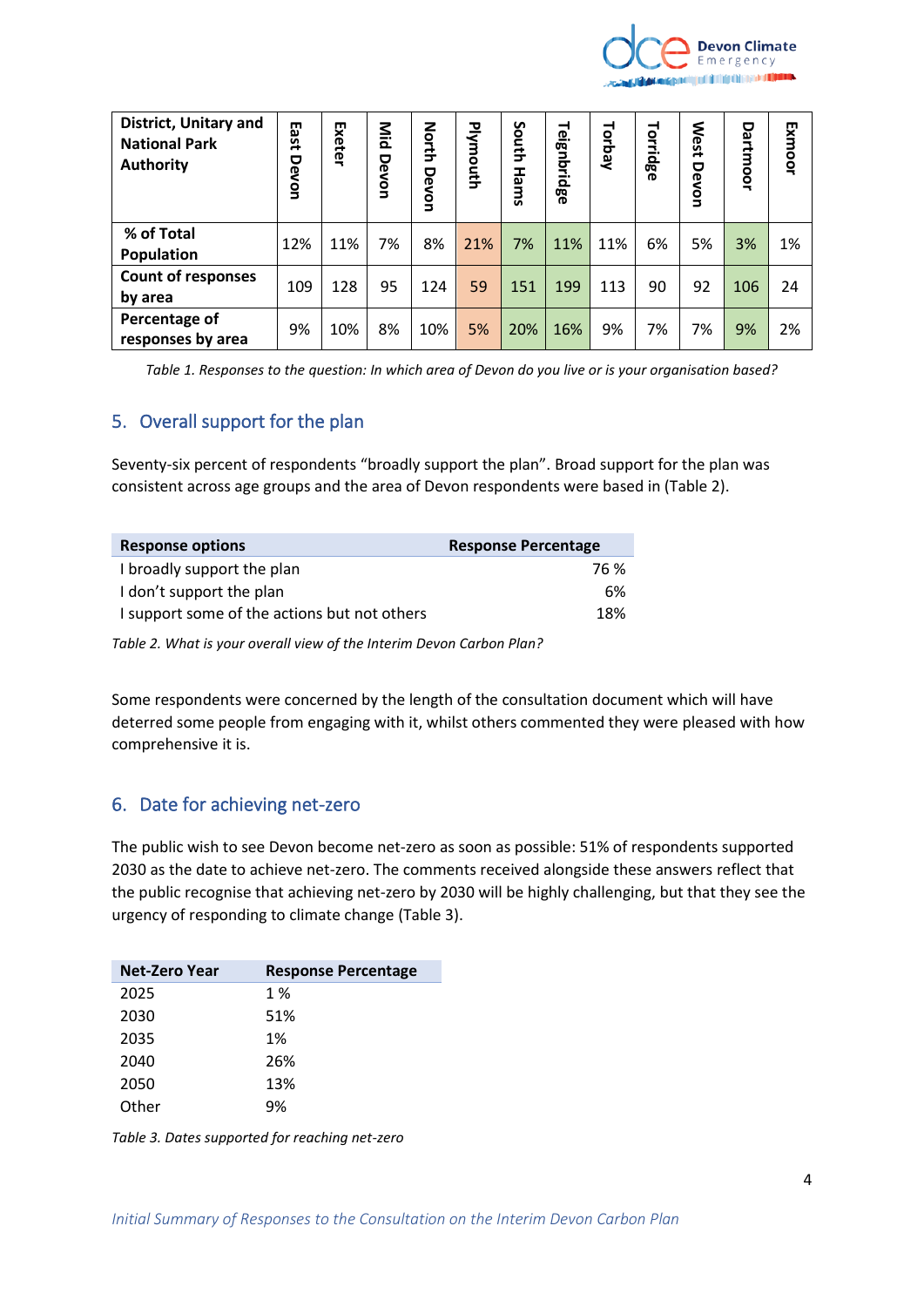

| <b>District, Unitary and</b><br><b>National Park</b><br><b>Authority</b> | m<br><b>ast</b><br>Devon | Exeter | Mild<br>Devon | North<br>Devon | Plymouth | South<br>Hams | Teignbridge | Torbay | Torridge | <b>West</b><br>Devon | Dartmoor | Exmoor |
|--------------------------------------------------------------------------|--------------------------|--------|---------------|----------------|----------|---------------|-------------|--------|----------|----------------------|----------|--------|
| % of Total<br>Population                                                 | 12%                      | 11%    | 7%            | 8%             | 21%      | 7%            | 11%         | 11%    | 6%       | 5%                   | 3%       | 1%     |
| <b>Count of responses</b><br>by area                                     | 109                      | 128    | 95            | 124            | 59       | 151           | 199         | 113    | 90       | 92                   | 106      | 24     |
| Percentage of<br>responses by area                                       | 9%                       | 10%    | 8%            | 10%            | 5%       | 20%           | 16%         | 9%     | 7%       | 7%                   | 9%       | 2%     |

*Table 1. Responses to the question: In which area of Devon do you live or is your organisation based?*

# 5. Overall support for the plan

Seventy-six percent of respondents "broadly support the plan". Broad support for the plan was consistent across age groups and the area of Devon respondents were based in (Table 2).

| <b>Response options</b>                      | <b>Response Percentage</b> |
|----------------------------------------------|----------------------------|
| I broadly support the plan                   | 76 %                       |
| I don't support the plan                     | 6%                         |
| I support some of the actions but not others | 18%                        |

*Table 2. What is your overall view of the Interim Devon Carbon Plan?*

Some respondents were concerned by the length of the consultation document which will have deterred some people from engaging with it, whilst others commented they were pleased with how comprehensive it is.

# 6. Date for achieving net-zero

The public wish to see Devon become net-zero as soon as possible: 51% of respondents supported 2030 as the date to achieve net-zero. The comments received alongside these answers reflect that the public recognise that achieving net-zero by 2030 will be highly challenging, but that they see the urgency of responding to climate change (Table 3).

| <b>Net-Zero Year</b> | <b>Response Percentage</b> |
|----------------------|----------------------------|
| 2025                 | 1 %                        |
| 2030                 | 51%                        |
| 2035                 | 1%                         |
| 2040                 | 26%                        |
| 2050                 | 13%                        |
| Other                | 9%                         |

*Table 3. Dates supported for reaching net-zero*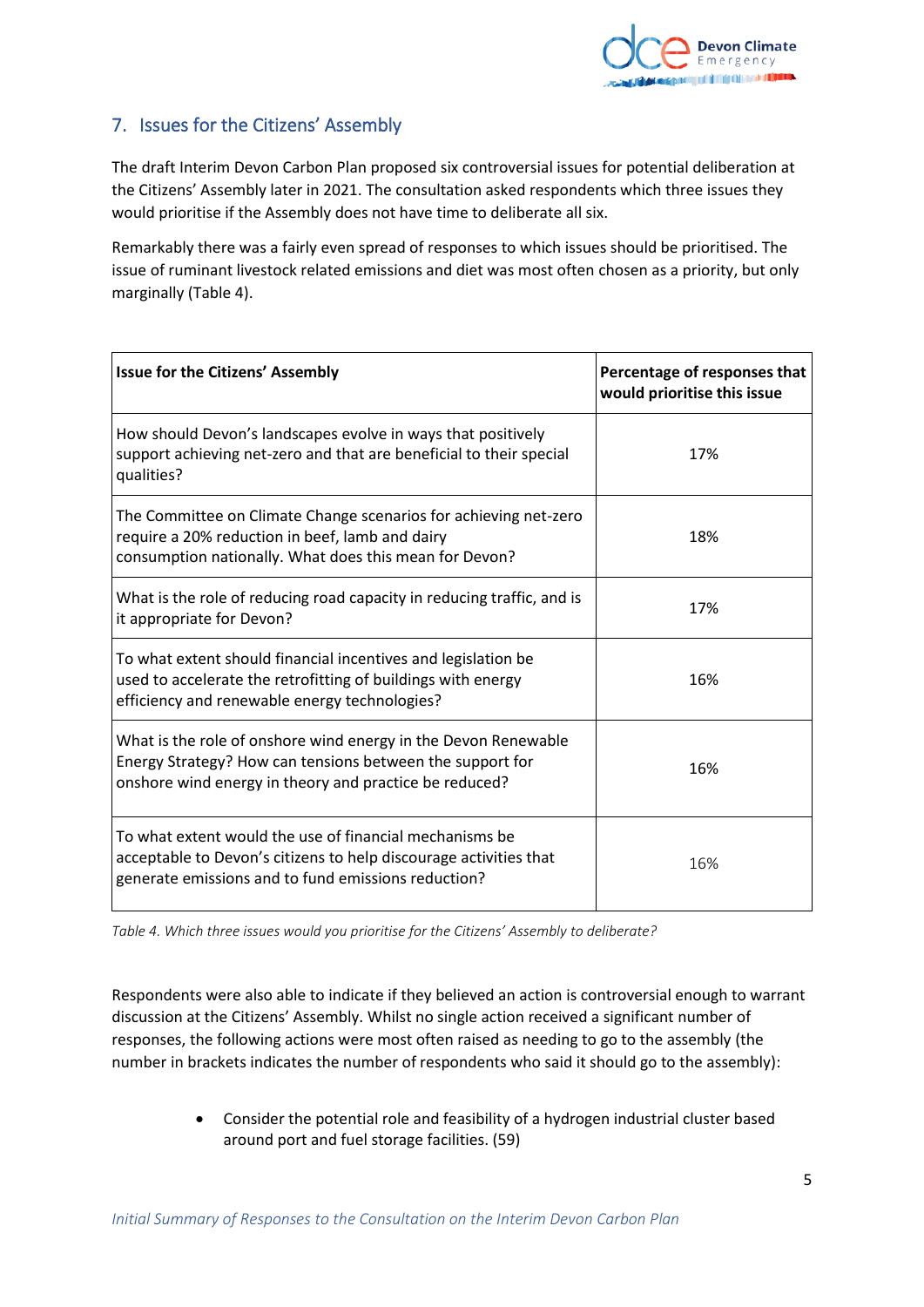

# 7. Issues for the Citizens' Assembly

The draft Interim Devon Carbon Plan proposed six controversial issues for potential deliberation at the Citizens' Assembly later in 2021. The consultation asked respondents which three issues they would prioritise if the Assembly does not have time to deliberate all six.

Remarkably there was a fairly even spread of responses to which issues should be prioritised. The issue of ruminant livestock related emissions and diet was most often chosen as a priority, but only marginally (Table 4).

| <b>Issue for the Citizens' Assembly</b>                                                                                                                                               | Percentage of responses that<br>would prioritise this issue |
|---------------------------------------------------------------------------------------------------------------------------------------------------------------------------------------|-------------------------------------------------------------|
| How should Devon's landscapes evolve in ways that positively<br>support achieving net-zero and that are beneficial to their special<br>qualities?                                     | 17%                                                         |
| The Committee on Climate Change scenarios for achieving net-zero<br>require a 20% reduction in beef, lamb and dairy<br>consumption nationally. What does this mean for Devon?         | 18%                                                         |
| What is the role of reducing road capacity in reducing traffic, and is<br>it appropriate for Devon?                                                                                   | 17%                                                         |
| To what extent should financial incentives and legislation be<br>used to accelerate the retrofitting of buildings with energy<br>efficiency and renewable energy technologies?        | 16%                                                         |
| What is the role of onshore wind energy in the Devon Renewable<br>Energy Strategy? How can tensions between the support for<br>onshore wind energy in theory and practice be reduced? | 16%                                                         |
| To what extent would the use of financial mechanisms be<br>acceptable to Devon's citizens to help discourage activities that<br>generate emissions and to fund emissions reduction?   | 16%                                                         |

*Table 4. Which three issues would you prioritise for the Citizens' Assembly to deliberate?*

Respondents were also able to indicate if they believed an action is controversial enough to warrant discussion at the Citizens' Assembly. Whilst no single action received a significant number of responses, the following actions were most often raised as needing to go to the assembly (the number in brackets indicates the number of respondents who said it should go to the assembly):

> • Consider the potential role and feasibility of a hydrogen industrial cluster based around port and fuel storage facilities. (59)